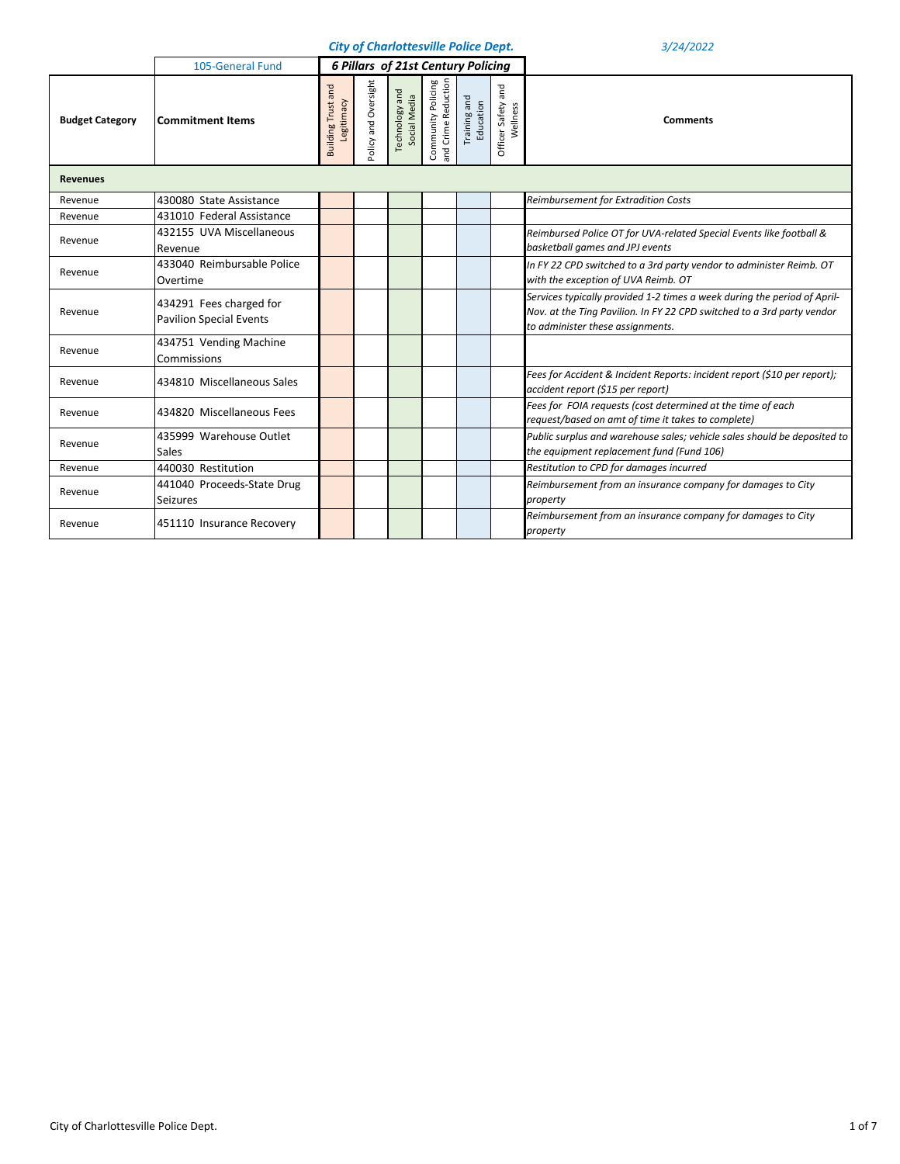|                        |                                                           |                                         |                      |                                | <b>City of Charlottesville Police Dept.</b> |                           |                                   | 3/24/2022                                                                                                                                                                              |  |  |  |  |
|------------------------|-----------------------------------------------------------|-----------------------------------------|----------------------|--------------------------------|---------------------------------------------|---------------------------|-----------------------------------|----------------------------------------------------------------------------------------------------------------------------------------------------------------------------------------|--|--|--|--|
|                        | 105-General Fund                                          |                                         |                      |                                | <b>6 Pillars of 21st Century Policing</b>   |                           |                                   |                                                                                                                                                                                        |  |  |  |  |
| <b>Budget Category</b> | <b>Commitment Items</b>                                   | <b>Building Trust and</b><br>Legitimacy | Policy and Oversight | Technology and<br>Social Media | Community Policing<br>and Crime Reduction   | Training and<br>Education | and<br>Officer Safety<br>Wellness | <b>Comments</b>                                                                                                                                                                        |  |  |  |  |
| <b>Revenues</b>        |                                                           |                                         |                      |                                |                                             |                           |                                   |                                                                                                                                                                                        |  |  |  |  |
| Revenue                | 430080 State Assistance                                   |                                         |                      |                                |                                             |                           |                                   | Reimbursement for Extradition Costs                                                                                                                                                    |  |  |  |  |
| Revenue                | 431010 Federal Assistance                                 |                                         |                      |                                |                                             |                           |                                   |                                                                                                                                                                                        |  |  |  |  |
| Revenue                | 432155 UVA Miscellaneous<br>Revenue                       |                                         |                      |                                |                                             |                           |                                   | Reimbursed Police OT for UVA-related Special Events like football &<br>basketball games and JPJ events                                                                                 |  |  |  |  |
| Revenue                | 433040 Reimbursable Police<br>Overtime                    |                                         |                      |                                |                                             |                           |                                   | In FY 22 CPD switched to a 3rd party vendor to administer Reimb. OT<br>with the exception of UVA Reimb. OT                                                                             |  |  |  |  |
| Revenue                | 434291 Fees charged for<br><b>Pavilion Special Events</b> |                                         |                      |                                |                                             |                           |                                   | Services typically provided 1-2 times a week during the period of April-<br>Nov. at the Ting Pavilion. In FY 22 CPD switched to a 3rd party vendor<br>to administer these assignments. |  |  |  |  |
| Revenue                | 434751 Vending Machine<br>Commissions                     |                                         |                      |                                |                                             |                           |                                   |                                                                                                                                                                                        |  |  |  |  |
| Revenue                | 434810 Miscellaneous Sales                                |                                         |                      |                                |                                             |                           |                                   | Fees for Accident & Incident Reports: incident report (\$10 per report);<br>accident report (\$15 per report)                                                                          |  |  |  |  |
| Revenue                | 434820 Miscellaneous Fees                                 |                                         |                      |                                |                                             |                           |                                   | Fees for FOIA requests (cost determined at the time of each<br>request/based on amt of time it takes to complete)                                                                      |  |  |  |  |
| Revenue                | 435999 Warehouse Outlet<br>Sales                          |                                         |                      |                                |                                             |                           |                                   | Public surplus and warehouse sales; vehicle sales should be deposited to<br>the equipment replacement fund (Fund 106)                                                                  |  |  |  |  |
| Revenue                | 440030 Restitution                                        |                                         |                      |                                |                                             |                           |                                   | Restitution to CPD for damages incurred                                                                                                                                                |  |  |  |  |
| Revenue                | 441040 Proceeds-State Drug<br><b>Seizures</b>             |                                         |                      |                                |                                             |                           |                                   | Reimbursement from an insurance company for damages to City<br>property                                                                                                                |  |  |  |  |
| Revenue                | 451110 Insurance Recovery                                 |                                         |                      |                                |                                             |                           |                                   | Reimbursement from an insurance company for damages to City<br>property                                                                                                                |  |  |  |  |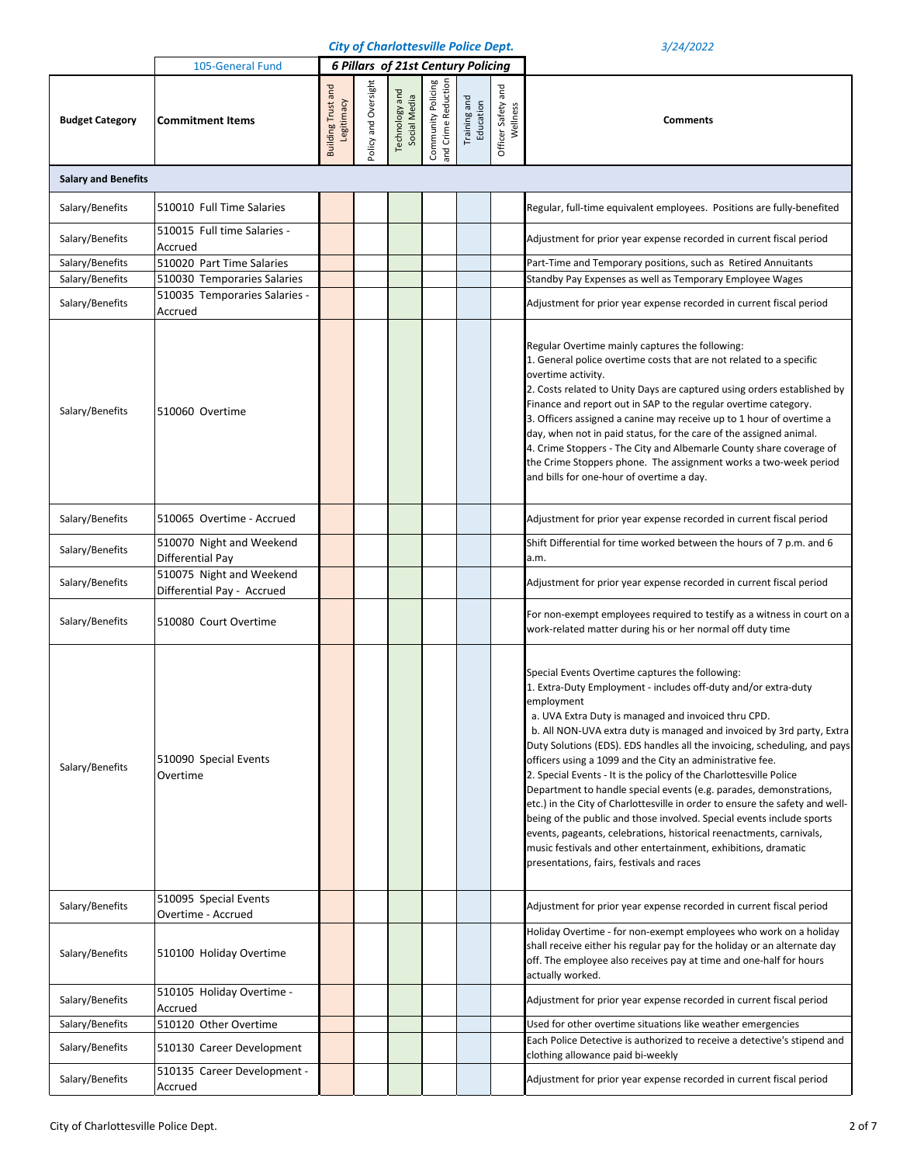|                                    |                                                                          |                                         |                      |                                | <b>City of Charlottesville Police Dept.</b> |                           | 3/24/2022                      |                                                                                                                                                                                                                                                                                                                                                                                                                                                                                                                                                                                                                                                                                                                                                                                                                                                                                                      |
|------------------------------------|--------------------------------------------------------------------------|-----------------------------------------|----------------------|--------------------------------|---------------------------------------------|---------------------------|--------------------------------|------------------------------------------------------------------------------------------------------------------------------------------------------------------------------------------------------------------------------------------------------------------------------------------------------------------------------------------------------------------------------------------------------------------------------------------------------------------------------------------------------------------------------------------------------------------------------------------------------------------------------------------------------------------------------------------------------------------------------------------------------------------------------------------------------------------------------------------------------------------------------------------------------|
|                                    | 105-General Fund                                                         |                                         |                      |                                | <b>6 Pillars of 21st Century Policing</b>   |                           |                                |                                                                                                                                                                                                                                                                                                                                                                                                                                                                                                                                                                                                                                                                                                                                                                                                                                                                                                      |
| <b>Budget Category</b>             | <b>Commitment Items</b>                                                  | <b>Building Trust and</b><br>Legitimacy | Policy and Oversight | Technology and<br>Social Media | Community Policing<br>and Crime Reduction   | Training and<br>Education | Officer Safety and<br>Wellness | <b>Comments</b>                                                                                                                                                                                                                                                                                                                                                                                                                                                                                                                                                                                                                                                                                                                                                                                                                                                                                      |
| <b>Salary and Benefits</b>         |                                                                          |                                         |                      |                                |                                             |                           |                                |                                                                                                                                                                                                                                                                                                                                                                                                                                                                                                                                                                                                                                                                                                                                                                                                                                                                                                      |
| Salary/Benefits                    | 510010 Full Time Salaries                                                |                                         |                      |                                |                                             |                           |                                | Regular, full-time equivalent employees. Positions are fully-benefited                                                                                                                                                                                                                                                                                                                                                                                                                                                                                                                                                                                                                                                                                                                                                                                                                               |
| Salary/Benefits                    | 510015 Full time Salaries -<br>Accrued                                   |                                         |                      |                                |                                             |                           |                                | Adjustment for prior year expense recorded in current fiscal period                                                                                                                                                                                                                                                                                                                                                                                                                                                                                                                                                                                                                                                                                                                                                                                                                                  |
| Salary/Benefits                    | 510020 Part Time Salaries                                                |                                         |                      |                                |                                             |                           |                                | Part-Time and Temporary positions, such as Retired Annuitants                                                                                                                                                                                                                                                                                                                                                                                                                                                                                                                                                                                                                                                                                                                                                                                                                                        |
| Salary/Benefits                    | 510030 Temporaries Salaries                                              |                                         |                      |                                |                                             |                           |                                | Standby Pay Expenses as well as Temporary Employee Wages                                                                                                                                                                                                                                                                                                                                                                                                                                                                                                                                                                                                                                                                                                                                                                                                                                             |
| Salary/Benefits                    | 510035 Temporaries Salaries -<br>Accrued                                 |                                         |                      |                                |                                             |                           |                                | Adjustment for prior year expense recorded in current fiscal period                                                                                                                                                                                                                                                                                                                                                                                                                                                                                                                                                                                                                                                                                                                                                                                                                                  |
| Salary/Benefits                    | 510060 Overtime                                                          |                                         |                      |                                |                                             |                           |                                | Regular Overtime mainly captures the following:<br>1. General police overtime costs that are not related to a specific<br>overtime activity.<br>2. Costs related to Unity Days are captured using orders established by<br>Finance and report out in SAP to the regular overtime category.<br>3. Officers assigned a canine may receive up to 1 hour of overtime a<br>day, when not in paid status, for the care of the assigned animal.<br>4. Crime Stoppers - The City and Albemarle County share coverage of<br>the Crime Stoppers phone. The assignment works a two-week period<br>and bills for one-hour of overtime a day.                                                                                                                                                                                                                                                                     |
| Salary/Benefits                    | 510065 Overtime - Accrued                                                |                                         |                      |                                |                                             |                           |                                | Adjustment for prior year expense recorded in current fiscal period                                                                                                                                                                                                                                                                                                                                                                                                                                                                                                                                                                                                                                                                                                                                                                                                                                  |
| Salary/Benefits<br>Salary/Benefits | 510070 Night and Weekend<br>Differential Pay<br>510075 Night and Weekend |                                         |                      |                                |                                             |                           |                                | Shift Differential for time worked between the hours of 7 p.m. and 6<br>a.m.<br>Adjustment for prior year expense recorded in current fiscal period                                                                                                                                                                                                                                                                                                                                                                                                                                                                                                                                                                                                                                                                                                                                                  |
|                                    | Differential Pay - Accrued                                               |                                         |                      |                                |                                             |                           |                                |                                                                                                                                                                                                                                                                                                                                                                                                                                                                                                                                                                                                                                                                                                                                                                                                                                                                                                      |
| Salary/Benefits                    | 510080 Court Overtime                                                    |                                         |                      |                                |                                             |                           |                                | For non-exempt employees required to testify as a witness in court on a<br>work-related matter during his or her normal off duty time                                                                                                                                                                                                                                                                                                                                                                                                                                                                                                                                                                                                                                                                                                                                                                |
| Salary/Benefits                    | 510090 Special Events<br>Overtime                                        |                                         |                      |                                |                                             |                           |                                | Special Events Overtime captures the following:<br>1. Extra-Duty Employment - includes off-duty and/or extra-duty<br>employment<br>a. UVA Extra Duty is managed and invoiced thru CPD.<br>b. All NON-UVA extra duty is managed and invoiced by 3rd party, Extra<br>Duty Solutions (EDS). EDS handles all the invoicing, scheduling, and pays<br>officers using a 1099 and the City an administrative fee.<br>2. Special Events - It is the policy of the Charlottesville Police<br>Department to handle special events (e.g. parades, demonstrations,<br>etc.) in the City of Charlottesville in order to ensure the safety and well-<br>being of the public and those involved. Special events include sports<br>events, pageants, celebrations, historical reenactments, carnivals,<br>music festivals and other entertainment, exhibitions, dramatic<br>presentations, fairs, festivals and races |
| Salary/Benefits                    | 510095 Special Events<br>Overtime - Accrued                              |                                         |                      |                                |                                             |                           |                                | Adjustment for prior year expense recorded in current fiscal period                                                                                                                                                                                                                                                                                                                                                                                                                                                                                                                                                                                                                                                                                                                                                                                                                                  |
| Salary/Benefits                    | 510100 Holiday Overtime                                                  |                                         |                      |                                |                                             |                           |                                | Holiday Overtime - for non-exempt employees who work on a holiday<br>shall receive either his regular pay for the holiday or an alternate day<br>off. The employee also receives pay at time and one-half for hours<br>actually worked.                                                                                                                                                                                                                                                                                                                                                                                                                                                                                                                                                                                                                                                              |
| Salary/Benefits                    | 510105 Holiday Overtime -<br>Accrued                                     |                                         |                      |                                |                                             |                           |                                | Adjustment for prior year expense recorded in current fiscal period                                                                                                                                                                                                                                                                                                                                                                                                                                                                                                                                                                                                                                                                                                                                                                                                                                  |
| Salary/Benefits                    | 510120 Other Overtime                                                    |                                         |                      |                                |                                             |                           |                                | Used for other overtime situations like weather emergencies                                                                                                                                                                                                                                                                                                                                                                                                                                                                                                                                                                                                                                                                                                                                                                                                                                          |
| Salary/Benefits                    | 510130 Career Development                                                |                                         |                      |                                |                                             |                           |                                | Each Police Detective is authorized to receive a detective's stipend and<br>clothing allowance paid bi-weekly                                                                                                                                                                                                                                                                                                                                                                                                                                                                                                                                                                                                                                                                                                                                                                                        |
| Salary/Benefits                    | 510135 Career Development -<br>Accrued                                   |                                         |                      |                                |                                             |                           |                                | Adjustment for prior year expense recorded in current fiscal period                                                                                                                                                                                                                                                                                                                                                                                                                                                                                                                                                                                                                                                                                                                                                                                                                                  |
|                                    |                                                                          |                                         |                      |                                |                                             |                           |                                |                                                                                                                                                                                                                                                                                                                                                                                                                                                                                                                                                                                                                                                                                                                                                                                                                                                                                                      |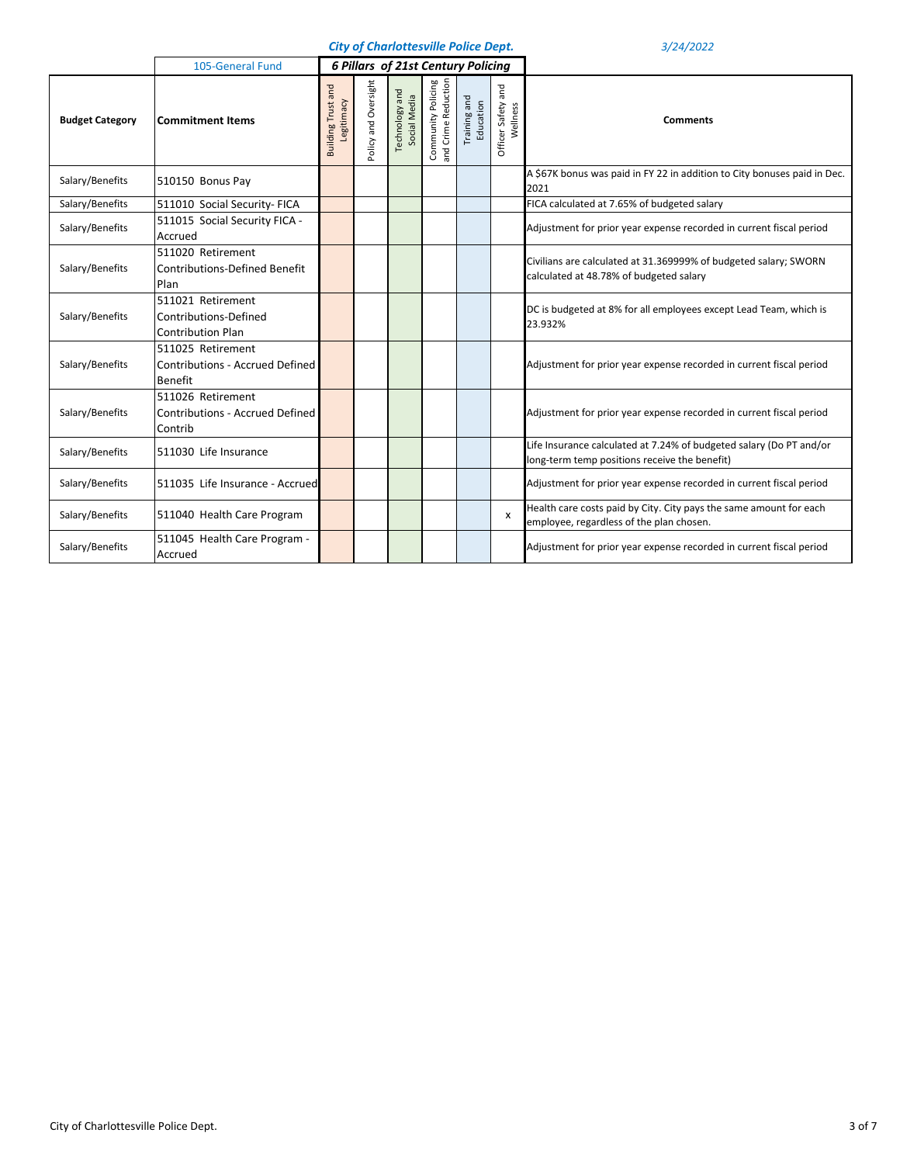|                        | 105-General Fund                                                              |                                         |                      | <b>6 Pillars of 21st Century Policing</b> |                                           |                           |                                |                                                                                                                      |
|------------------------|-------------------------------------------------------------------------------|-----------------------------------------|----------------------|-------------------------------------------|-------------------------------------------|---------------------------|--------------------------------|----------------------------------------------------------------------------------------------------------------------|
| <b>Budget Category</b> | <b>Commitment Items</b>                                                       | <b>Building Trust and</b><br>Legitimacy | Policy and Oversight | Technology and<br>Social Media            | Community Policing<br>and Crime Reduction | Training and<br>Education | Officer Safety and<br>Wellness | <b>Comments</b>                                                                                                      |
| Salary/Benefits        | 510150 Bonus Pay                                                              |                                         |                      |                                           |                                           |                           |                                | A \$67K bonus was paid in FY 22 in addition to City bonuses paid in Dec.<br>2021                                     |
| Salary/Benefits        | 511010 Social Security- FICA                                                  |                                         |                      |                                           |                                           |                           |                                | FICA calculated at 7.65% of budgeted salary                                                                          |
| Salary/Benefits        | 511015 Social Security FICA -<br>Accrued                                      |                                         |                      |                                           |                                           |                           |                                | Adjustment for prior year expense recorded in current fiscal period                                                  |
| Salary/Benefits        | 511020 Retirement<br><b>Contributions-Defined Benefit</b><br>Plan             |                                         |                      |                                           |                                           |                           |                                | Civilians are calculated at 31.369999% of budgeted salary; SWORN<br>calculated at 48.78% of budgeted salary          |
| Salary/Benefits        | 511021 Retirement<br>Contributions-Defined<br><b>Contribution Plan</b>        |                                         |                      |                                           |                                           |                           |                                | DC is budgeted at 8% for all employees except Lead Team, which is<br>23.932%                                         |
| Salary/Benefits        | 511025 Retirement<br><b>Contributions - Accrued Defined</b><br><b>Benefit</b> |                                         |                      |                                           |                                           |                           |                                | Adjustment for prior year expense recorded in current fiscal period                                                  |
| Salary/Benefits        | 511026 Retirement<br><b>Contributions - Accrued Defined</b><br>Contrib        |                                         |                      |                                           |                                           |                           |                                | Adjustment for prior year expense recorded in current fiscal period                                                  |
| Salary/Benefits        | 511030 Life Insurance                                                         |                                         |                      |                                           |                                           |                           |                                | Life Insurance calculated at 7.24% of budgeted salary (Do PT and/or<br>long-term temp positions receive the benefit) |
| Salary/Benefits        | 511035 Life Insurance - Accrued                                               |                                         |                      |                                           |                                           |                           |                                | Adjustment for prior year expense recorded in current fiscal period                                                  |
| Salary/Benefits        | 511040 Health Care Program                                                    |                                         |                      |                                           |                                           |                           | $\boldsymbol{\mathsf{x}}$      | Health care costs paid by City. City pays the same amount for each<br>employee, regardless of the plan chosen.       |
| Salary/Benefits        | 511045 Health Care Program -<br>Accrued                                       |                                         |                      |                                           |                                           |                           |                                | Adjustment for prior year expense recorded in current fiscal period                                                  |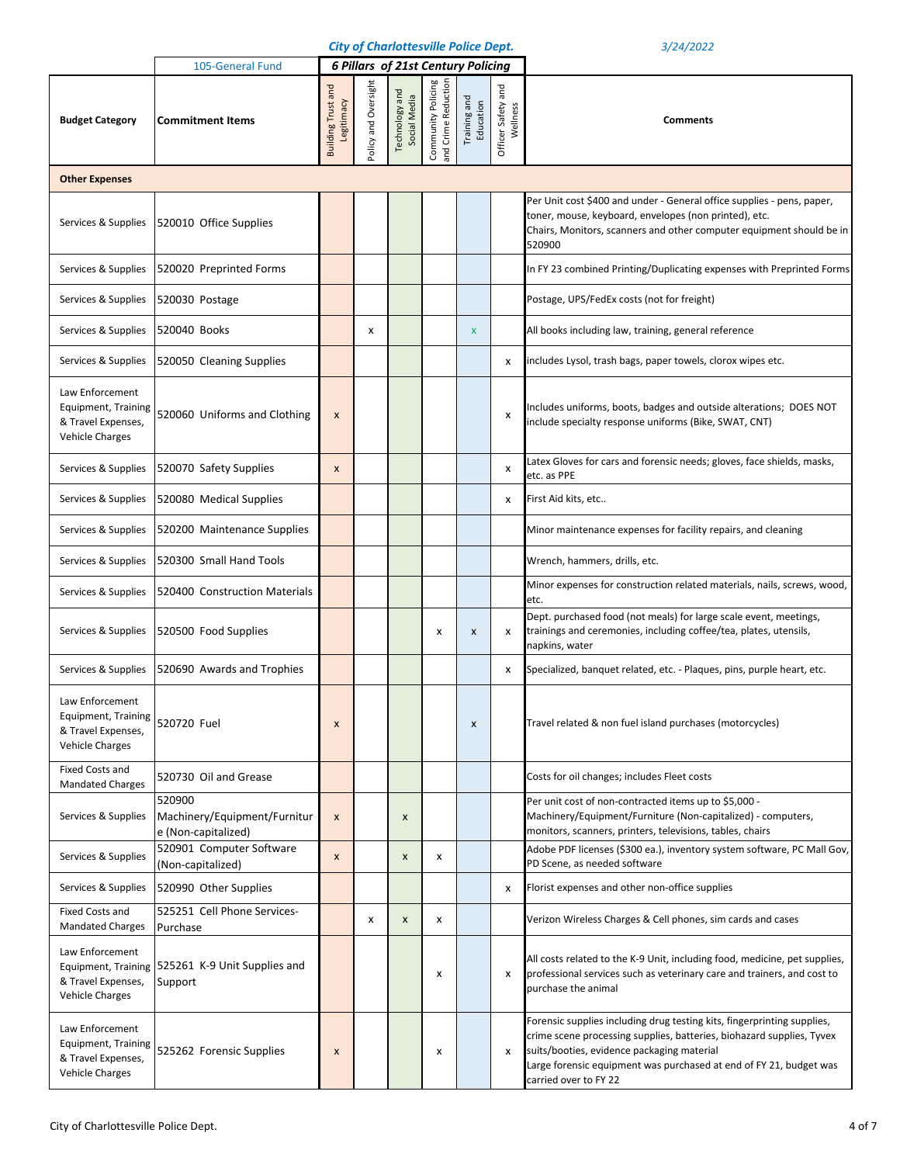|  |  | <b>City of Charlottesville Police Dept.</b> |  |  |
|--|--|---------------------------------------------|--|--|
|--|--|---------------------------------------------|--|--|

|                                                                                               | 105-General Fund                                              |                                         |                      | <b>6 Pillars of 21st Century Policing</b> |                                           |                           |                                |                                                                                                                                                                                                                                                                                               |
|-----------------------------------------------------------------------------------------------|---------------------------------------------------------------|-----------------------------------------|----------------------|-------------------------------------------|-------------------------------------------|---------------------------|--------------------------------|-----------------------------------------------------------------------------------------------------------------------------------------------------------------------------------------------------------------------------------------------------------------------------------------------|
| <b>Budget Category</b>                                                                        | <b>Commitment Items</b>                                       | <b>Building Trust and</b><br>Legitimacy | Policy and Oversight | and<br>Social Media<br><b>Technology</b>  | Community Policing<br>and Crime Reduction | Training and<br>Education | Officer Safety and<br>Wellness | <b>Comments</b>                                                                                                                                                                                                                                                                               |
| <b>Other Expenses</b>                                                                         |                                                               |                                         |                      |                                           |                                           |                           |                                |                                                                                                                                                                                                                                                                                               |
| Services & Supplies                                                                           | 520010 Office Supplies                                        |                                         |                      |                                           |                                           |                           |                                | Per Unit cost \$400 and under - General office supplies - pens, paper,<br>toner, mouse, keyboard, envelopes (non printed), etc.<br>Chairs, Monitors, scanners and other computer equipment should be in<br>520900                                                                             |
| Services & Supplies                                                                           | 520020 Preprinted Forms                                       |                                         |                      |                                           |                                           |                           |                                | In FY 23 combined Printing/Duplicating expenses with Preprinted Forms                                                                                                                                                                                                                         |
| Services & Supplies                                                                           | 520030 Postage                                                |                                         |                      |                                           |                                           |                           |                                | Postage, UPS/FedEx costs (not for freight)                                                                                                                                                                                                                                                    |
| Services & Supplies                                                                           | 520040 Books                                                  |                                         | x                    |                                           |                                           | $\boldsymbol{\mathsf{x}}$ |                                | All books including law, training, general reference                                                                                                                                                                                                                                          |
| Services & Supplies                                                                           | 520050 Cleaning Supplies                                      |                                         |                      |                                           |                                           |                           | x                              | includes Lysol, trash bags, paper towels, clorox wipes etc.                                                                                                                                                                                                                                   |
| Law Enforcement<br>Equipment, Training<br>& Travel Expenses,<br><b>Vehicle Charges</b>        | 520060 Uniforms and Clothing                                  | X                                       |                      |                                           |                                           |                           | х                              | Includes uniforms, boots, badges and outside alterations; DOES NOT<br>include specialty response uniforms (Bike, SWAT, CNT)                                                                                                                                                                   |
| Services & Supplies                                                                           | 520070 Safety Supplies                                        | $\pmb{\times}$                          |                      |                                           |                                           |                           | x                              | Latex Gloves for cars and forensic needs; gloves, face shields, masks,<br>etc. as PPE                                                                                                                                                                                                         |
| Services & Supplies                                                                           | 520080 Medical Supplies                                       |                                         |                      |                                           |                                           |                           | x                              | First Aid kits, etc                                                                                                                                                                                                                                                                           |
| Services & Supplies                                                                           | 520200 Maintenance Supplies                                   |                                         |                      |                                           |                                           |                           |                                | Minor maintenance expenses for facility repairs, and cleaning                                                                                                                                                                                                                                 |
| Services & Supplies                                                                           | 520300 Small Hand Tools                                       |                                         |                      |                                           |                                           |                           |                                | Wrench, hammers, drills, etc.                                                                                                                                                                                                                                                                 |
| Services & Supplies                                                                           | 520400 Construction Materials                                 |                                         |                      |                                           |                                           |                           |                                | Minor expenses for construction related materials, nails, screws, wood,<br>etc.                                                                                                                                                                                                               |
| Services & Supplies                                                                           | 520500 Food Supplies                                          |                                         |                      |                                           | x                                         | X                         | x                              | Dept. purchased food (not meals) for large scale event, meetings,<br>trainings and ceremonies, including coffee/tea, plates, utensils,<br>napkins, water                                                                                                                                      |
| Services & Supplies                                                                           | 520690 Awards and Trophies                                    |                                         |                      |                                           |                                           |                           | x                              | Specialized, banquet related, etc. - Plaques, pins, purple heart, etc.                                                                                                                                                                                                                        |
| Law Enforcement<br>Equipment, Training<br>& Travel Expenses,<br><b>Vehicle Charges</b>        | 520720 Fuel                                                   | X                                       |                      |                                           |                                           | X                         |                                | Travel related & non fuel island purchases (motorcycles)                                                                                                                                                                                                                                      |
| Fixed Costs and<br><b>Mandated Charges</b>                                                    | 520730 Oil and Grease                                         |                                         |                      |                                           |                                           |                           |                                | Costs for oil changes; includes Fleet costs                                                                                                                                                                                                                                                   |
| Services & Supplies                                                                           | 520900<br>Machinery/Equipment/Furnitur<br>e (Non-capitalized) | $\pmb{\times}$                          |                      | X                                         |                                           |                           |                                | Per unit cost of non-contracted items up to \$5,000 -<br>Machinery/Equipment/Furniture (Non-capitalized) - computers,<br>monitors, scanners, printers, televisions, tables, chairs                                                                                                            |
| Services & Supplies                                                                           | 520901 Computer Software<br>(Non-capitalized)                 | $\pmb{\times}$                          |                      | X                                         | х                                         |                           |                                | Adobe PDF licenses (\$300 ea.), inventory system software, PC Mall Gov,<br>PD Scene, as needed software                                                                                                                                                                                       |
| Services & Supplies                                                                           | 520990 Other Supplies                                         |                                         |                      |                                           |                                           |                           | x                              | Florist expenses and other non-office supplies                                                                                                                                                                                                                                                |
| Fixed Costs and<br><b>Mandated Charges</b>                                                    | 525251 Cell Phone Services-<br>Purchase                       |                                         | x                    | X                                         | х                                         |                           |                                | Verizon Wireless Charges & Cell phones, sim cards and cases                                                                                                                                                                                                                                   |
| Law Enforcement<br>& Travel Expenses,<br><b>Vehicle Charges</b>                               | Equipment, Training 525261 K-9 Unit Supplies and<br>Support   |                                         |                      |                                           | x                                         |                           | x                              | All costs related to the K-9 Unit, including food, medicine, pet supplies,<br>professional services such as veterinary care and trainers, and cost to<br>purchase the animal                                                                                                                  |
| Law Enforcement<br><b>Equipment, Training</b><br>& Travel Expenses,<br><b>Vehicle Charges</b> | 525262 Forensic Supplies                                      | X                                       |                      |                                           | x                                         |                           | x                              | Forensic supplies including drug testing kits, fingerprinting supplies,<br>crime scene processing supplies, batteries, biohazard supplies, Tyvex<br>suits/booties, evidence packaging material<br>Large forensic equipment was purchased at end of FY 21, budget was<br>carried over to FY 22 |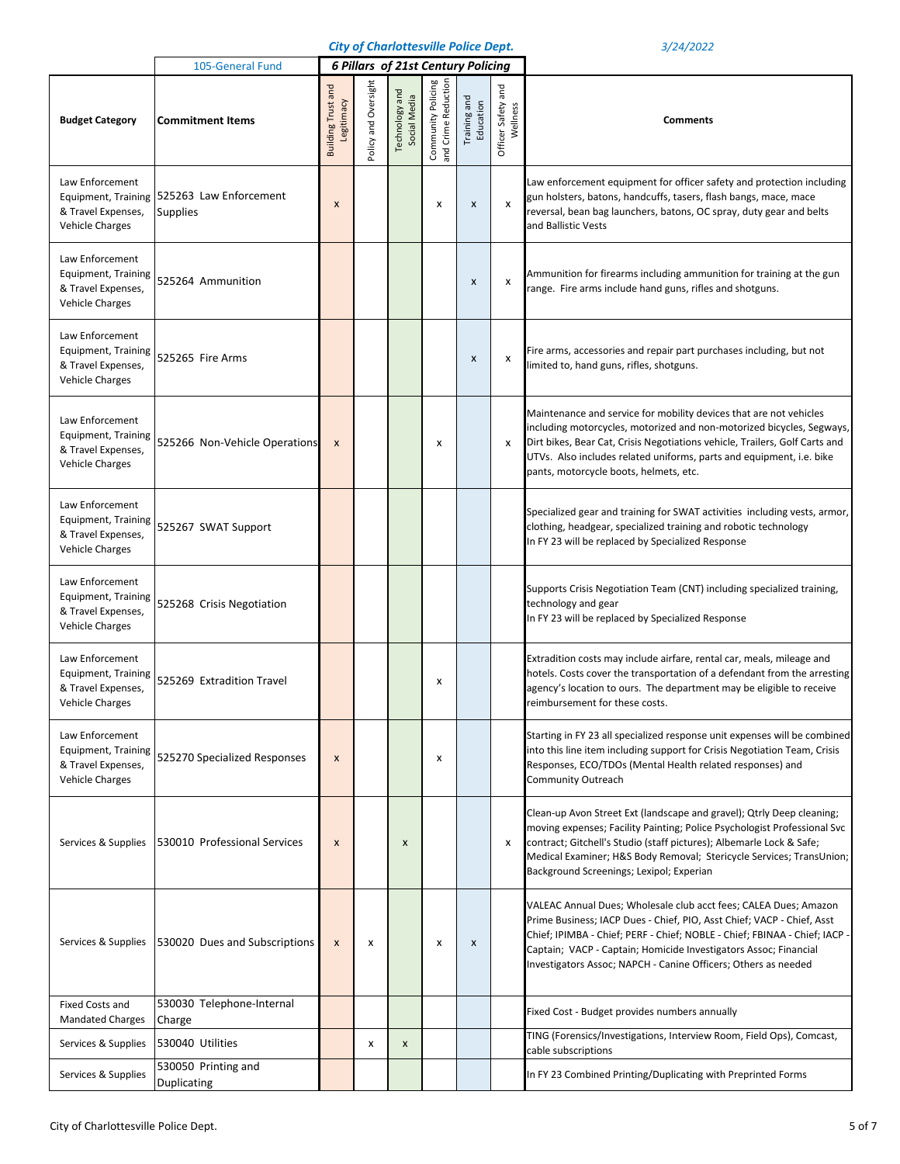|                                                                                               | 105-General Fund                                              | <b>6 Pillars of 21st Century Policing</b> |                      |                                |                                           |                           |                                   |                                                                                                                                                                                                                                                                                                                                                                |
|-----------------------------------------------------------------------------------------------|---------------------------------------------------------------|-------------------------------------------|----------------------|--------------------------------|-------------------------------------------|---------------------------|-----------------------------------|----------------------------------------------------------------------------------------------------------------------------------------------------------------------------------------------------------------------------------------------------------------------------------------------------------------------------------------------------------------|
| <b>Budget Category</b>                                                                        | <b>Commitment Items</b>                                       | <b>Building Trust and</b><br>Legitimacy   | Policy and Oversight | Technology and<br>Social Media | and Crime Reduction<br>Community Policing | Training and<br>Education | and<br>Officer Safety<br>Wellness | <b>Comments</b>                                                                                                                                                                                                                                                                                                                                                |
| Law Enforcement<br>& Travel Expenses,<br><b>Vehicle Charges</b>                               | Equipment, Training 525263 Law Enforcement<br><b>Supplies</b> | $\boldsymbol{\mathsf{x}}$                 |                      |                                | x                                         | $\boldsymbol{\mathsf{x}}$ | x                                 | Law enforcement equipment for officer safety and protection including<br>gun holsters, batons, handcuffs, tasers, flash bangs, mace, mace<br>reversal, bean bag launchers, batons, OC spray, duty gear and belts<br>and Ballistic Vests                                                                                                                        |
| Law Enforcement<br><b>Equipment, Training</b><br>& Travel Expenses,<br><b>Vehicle Charges</b> | 525264 Ammunition                                             |                                           |                      |                                |                                           | X                         | x                                 | Ammunition for firearms including ammunition for training at the gun<br>range. Fire arms include hand guns, rifles and shotguns.                                                                                                                                                                                                                               |
| Law Enforcement<br><b>Equipment, Training</b><br>& Travel Expenses,<br><b>Vehicle Charges</b> | 525265 Fire Arms                                              |                                           |                      |                                |                                           | $\pmb{\times}$            | x                                 | Fire arms, accessories and repair part purchases including, but not<br>limited to, hand guns, rifles, shotguns.                                                                                                                                                                                                                                                |
| Law Enforcement<br><b>Equipment, Training</b><br>& Travel Expenses,<br><b>Vehicle Charges</b> | 525266 Non-Vehicle Operations                                 | $\boldsymbol{x}$                          |                      |                                | x                                         |                           | X                                 | Maintenance and service for mobility devices that are not vehicles<br>including motorcycles, motorized and non-motorized bicycles, Segways,<br>Dirt bikes, Bear Cat, Crisis Negotiations vehicle, Trailers, Golf Carts and<br>UTVs. Also includes related uniforms, parts and equipment, i.e. bike<br>pants, motorcycle boots, helmets, etc.                   |
| Law Enforcement<br><b>Equipment, Training</b><br>& Travel Expenses,<br><b>Vehicle Charges</b> | 525267 SWAT Support                                           |                                           |                      |                                |                                           |                           |                                   | Specialized gear and training for SWAT activities including vests, armor,<br>clothing, headgear, specialized training and robotic technology<br>In FY 23 will be replaced by Specialized Response                                                                                                                                                              |
| Law Enforcement<br><b>Equipment, Training</b><br>& Travel Expenses,<br><b>Vehicle Charges</b> | 525268 Crisis Negotiation                                     |                                           |                      |                                |                                           |                           |                                   | Supports Crisis Negotiation Team (CNT) including specialized training,<br>technology and gear<br>In FY 23 will be replaced by Specialized Response                                                                                                                                                                                                             |
| Law Enforcement<br><b>Equipment, Training</b><br>& Travel Expenses,<br><b>Vehicle Charges</b> | 525269 Extradition Travel                                     |                                           |                      |                                | х                                         |                           |                                   | Extradition costs may include airfare, rental car, meals, mileage and<br>hotels. Costs cover the transportation of a defendant from the arresting<br>agency's location to ours. The department may be eligible to receive<br>reimbursement for these costs.                                                                                                    |
| Law Enforcement<br><b>Equipment, Training</b><br>& Travel Expenses,<br><b>Vehicle Charges</b> | 525270 Specialized Responses                                  | $\boldsymbol{x}$                          |                      |                                | х                                         |                           |                                   | Starting in FY 23 all specialized response unit expenses will be combined<br>into this line item including support for Crisis Negotiation Team, Crisis<br>Responses, ECO/TDOs (Mental Health related responses) and<br>Community Outreach                                                                                                                      |
| Services & Supplies                                                                           | 530010 Professional Services                                  | $\boldsymbol{x}$                          |                      | X                              |                                           |                           | x                                 | Clean-up Avon Street Ext (landscape and gravel); Qtrly Deep cleaning;<br>moving expenses; Facility Painting; Police Psychologist Professional Svc<br>contract; Gitchell's Studio (staff pictures); Albemarle Lock & Safe;<br>Medical Examiner; H&S Body Removal; Stericycle Services; TransUnion;<br>Background Screenings; Lexipol; Experian                  |
| Services & Supplies                                                                           | 530020 Dues and Subscriptions                                 | $\boldsymbol{x}$                          | x                    |                                | x                                         | $\pmb{\times}$            |                                   | VALEAC Annual Dues; Wholesale club acct fees; CALEA Dues; Amazon<br>Prime Business; IACP Dues - Chief, PIO, Asst Chief; VACP - Chief, Asst<br>Chief; IPIMBA - Chief; PERF - Chief; NOBLE - Chief; FBINAA - Chief; IACP -<br>Captain; VACP - Captain; Homicide Investigators Assoc; Financial<br>Investigators Assoc; NAPCH - Canine Officers; Others as needed |
| <b>Fixed Costs and</b><br><b>Mandated Charges</b>                                             | 530030 Telephone-Internal<br>Charge                           |                                           |                      |                                |                                           |                           |                                   | Fixed Cost - Budget provides numbers annually                                                                                                                                                                                                                                                                                                                  |
| Services & Supplies                                                                           | 530040 Utilities                                              |                                           | x                    | X                              |                                           |                           |                                   | TING (Forensics/Investigations, Interview Room, Field Ops), Comcast,<br>cable subscriptions                                                                                                                                                                                                                                                                    |
| Services & Supplies                                                                           | 530050 Printing and<br>Duplicating                            |                                           |                      |                                |                                           |                           |                                   | In FY 23 Combined Printing/Duplicating with Preprinted Forms                                                                                                                                                                                                                                                                                                   |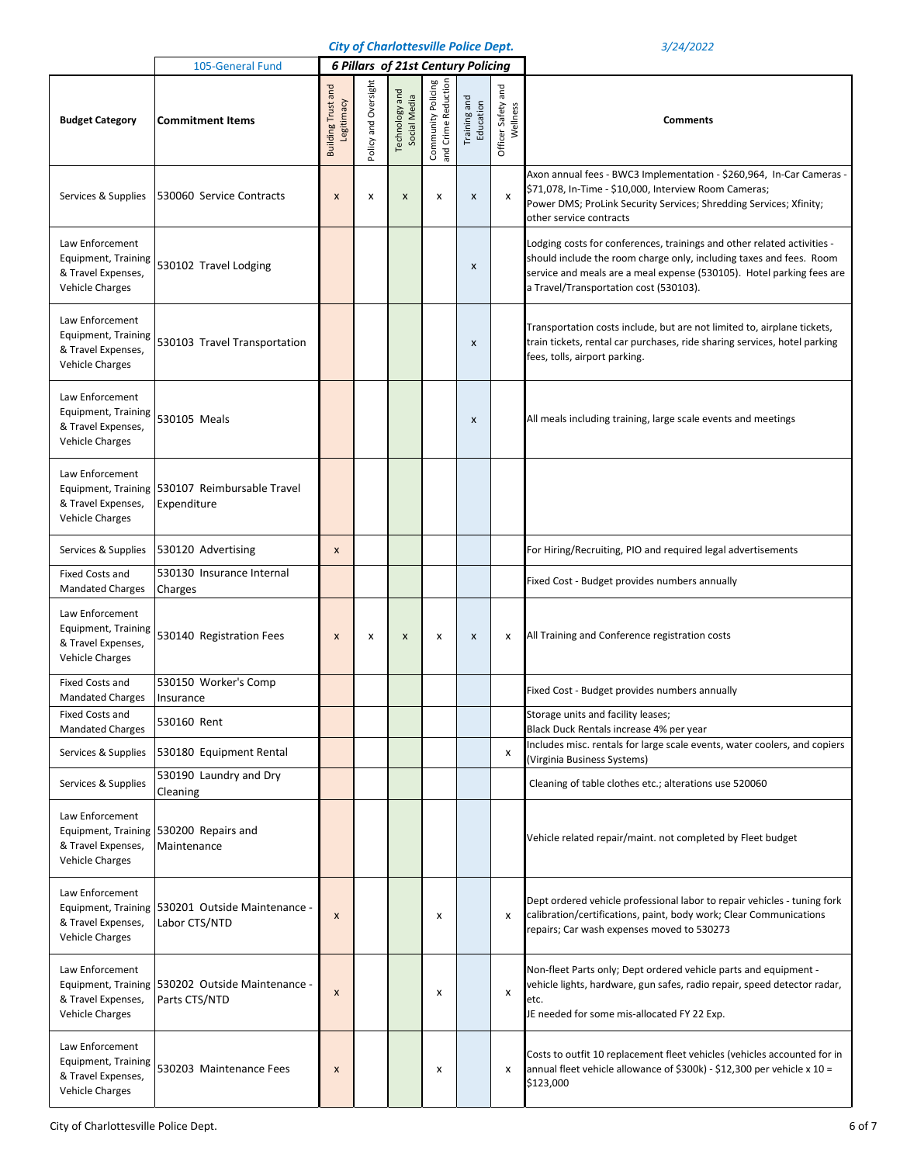|                                                                                               | 105-General Fund                                                  |                                         |                      |                                |                                           | <b>6 Pillars of 21st Century Policing</b> |                                   |                                                                                                                                                                                                                                                                   |
|-----------------------------------------------------------------------------------------------|-------------------------------------------------------------------|-----------------------------------------|----------------------|--------------------------------|-------------------------------------------|-------------------------------------------|-----------------------------------|-------------------------------------------------------------------------------------------------------------------------------------------------------------------------------------------------------------------------------------------------------------------|
| <b>Budget Category</b>                                                                        | <b>Commitment Items</b>                                           | <b>Building Trust and</b><br>Legitimacy | Policy and Oversight | Technology and<br>Social Media | and Crime Reduction<br>Community Policing | Training and<br>Education                 | and<br>Officer Safety<br>Wellness | <b>Comments</b>                                                                                                                                                                                                                                                   |
| Services & Supplies                                                                           | 530060 Service Contracts                                          | X                                       | x                    | X                              | х                                         | $\boldsymbol{\mathsf{x}}$                 | x                                 | Axon annual fees - BWC3 Implementation - \$260,964, In-Car Cameras -<br>\$71,078, In-Time - \$10,000, Interview Room Cameras;<br>Power DMS; ProLink Security Services; Shredding Services; Xfinity;<br>other service contracts                                    |
| Law Enforcement<br><b>Equipment, Training</b><br>& Travel Expenses,<br><b>Vehicle Charges</b> | 530102 Travel Lodging                                             |                                         |                      |                                |                                           | $\pmb{\times}$                            |                                   | Lodging costs for conferences, trainings and other related activities -<br>should include the room charge only, including taxes and fees. Room<br>service and meals are a meal expense (530105). Hotel parking fees are<br>a Travel/Transportation cost (530103). |
| Law Enforcement<br><b>Equipment, Training</b><br>& Travel Expenses,<br><b>Vehicle Charges</b> | 530103 Travel Transportation                                      |                                         |                      |                                |                                           | $\boldsymbol{\mathsf{x}}$                 |                                   | Transportation costs include, but are not limited to, airplane tickets,<br>train tickets, rental car purchases, ride sharing services, hotel parking<br>fees, tolls, airport parking.                                                                             |
| Law Enforcement<br><b>Equipment, Training</b><br>& Travel Expenses,<br><b>Vehicle Charges</b> | 530105 Meals                                                      |                                         |                      |                                |                                           | X                                         |                                   | All meals including training, large scale events and meetings                                                                                                                                                                                                     |
| Law Enforcement<br>& Travel Expenses,<br><b>Vehicle Charges</b>                               | Equipment, Training 530107 Reimbursable Travel<br>Expenditure     |                                         |                      |                                |                                           |                                           |                                   |                                                                                                                                                                                                                                                                   |
| Services & Supplies                                                                           | 530120 Advertising                                                | X                                       |                      |                                |                                           |                                           |                                   | For Hiring/Recruiting, PIO and required legal advertisements                                                                                                                                                                                                      |
| <b>Fixed Costs and</b><br><b>Mandated Charges</b>                                             | 530130 Insurance Internal<br>Charges                              |                                         |                      |                                |                                           |                                           |                                   | Fixed Cost - Budget provides numbers annually                                                                                                                                                                                                                     |
| Law Enforcement<br><b>Equipment, Training</b><br>& Travel Expenses,<br><b>Vehicle Charges</b> | 530140 Registration Fees                                          | $\boldsymbol{\mathsf{x}}$               | x                    | X                              | х                                         | $\pmb{\times}$                            | x                                 | All Training and Conference registration costs                                                                                                                                                                                                                    |
| <b>Fixed Costs and</b><br><b>Mandated Charges</b>                                             | 530150 Worker's Comp<br>Insurance                                 |                                         |                      |                                |                                           |                                           |                                   | Fixed Cost - Budget provides numbers annually                                                                                                                                                                                                                     |
| <b>Fixed Costs and</b><br><b>Mandated Charges</b>                                             | 530160 Rent                                                       |                                         |                      |                                |                                           |                                           |                                   | Storage units and facility leases;<br>Black Duck Rentals increase 4% per year                                                                                                                                                                                     |
| Services & Supplies                                                                           | 530180 Equipment Rental                                           |                                         |                      |                                |                                           |                                           | x                                 | Includes misc. rentals for large scale events, water coolers, and copiers<br>(Virginia Business Systems)                                                                                                                                                          |
| Services & Supplies                                                                           | 530190 Laundry and Dry<br>Cleaning                                |                                         |                      |                                |                                           |                                           |                                   | Cleaning of table clothes etc.; alterations use 520060                                                                                                                                                                                                            |
| Law Enforcement<br>& Travel Expenses,<br><b>Vehicle Charges</b>                               | Equipment, Training 530200 Repairs and<br>Maintenance             |                                         |                      |                                |                                           |                                           |                                   | Vehicle related repair/maint. not completed by Fleet budget                                                                                                                                                                                                       |
| Law Enforcement<br>& Travel Expenses,<br><b>Vehicle Charges</b>                               | Equipment, Training 530201 Outside Maintenance -<br>Labor CTS/NTD | X                                       |                      |                                | x                                         |                                           | x                                 | Dept ordered vehicle professional labor to repair vehicles - tuning fork<br>calibration/certifications, paint, body work; Clear Communications<br>repairs; Car wash expenses moved to 530273                                                                      |
| Law Enforcement<br>& Travel Expenses,<br><b>Vehicle Charges</b>                               | Equipment, Training 530202 Outside Maintenance -<br>Parts CTS/NTD | X                                       |                      |                                | x                                         |                                           | x                                 | Non-fleet Parts only; Dept ordered vehicle parts and equipment -<br>vehicle lights, hardware, gun safes, radio repair, speed detector radar,<br>etc.<br>JE needed for some mis-allocated FY 22 Exp.                                                               |
| Law Enforcement<br>Equipment, Training<br>& Travel Expenses,<br><b>Vehicle Charges</b>        | 530203 Maintenance Fees                                           | X                                       |                      |                                | x                                         |                                           | X                                 | Costs to outfit 10 replacement fleet vehicles (vehicles accounted for in<br>annual fleet vehicle allowance of \$300k) - \$12,300 per vehicle x 10 =<br>\$123,000                                                                                                  |